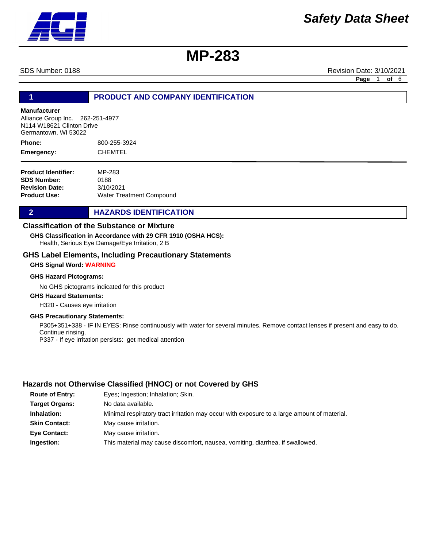SDS Number: 0188 Revision Date: 3/10/2021

**Page** 1 **of** 6

# **1 PRODUCT AND COMPANY IDENTIFICATION**

## **Manufacturer**

Alliance Group Inc. 262-251-4977 N114 W18621 Clinton Drive Germantown, WI 53022

800-255-3924 **CHEMTEL Phone: Emergency:**

| <b>Product Identifier:</b> | MP-283                          |
|----------------------------|---------------------------------|
| <b>SDS Number:</b>         | 0188                            |
| <b>Revision Date:</b>      | 3/10/2021                       |
| Product Use:               | <b>Water Treatment Compound</b> |

# **2 HAZARDS IDENTIFICATION**

# **Classification of the Substance or Mixture**

Health, Serious Eye Damage/Eye Irritation, 2 B **GHS Classification in Accordance with 29 CFR 1910 (OSHA HCS):**

## **GHS Label Elements, Including Precautionary Statements**

### **GHS Signal Word: WARNING**

### **GHS Hazard Pictograms:**

No GHS pictograms indicated for this product

# **GHS Hazard Statements:**

H320 - Causes eye irritation

### **GHS Precautionary Statements:**

P305+351+338 - IF IN EYES: Rinse continuously with water for several minutes. Remove contact lenses if present and easy to do. Continue rinsing. P337 - If eye irritation persists: get medical attention

# **Hazards not Otherwise Classified (HNOC) or not Covered by GHS**

| <b>Route of Entry:</b> | Eyes; Ingestion; Inhalation; Skin.                                                          |
|------------------------|---------------------------------------------------------------------------------------------|
| <b>Target Organs:</b>  | No data available.                                                                          |
| Inhalation:            | Minimal respiratory tract irritation may occur with exposure to a large amount of material. |
| <b>Skin Contact:</b>   | May cause irritation.                                                                       |
| <b>Eye Contact:</b>    | May cause irritation.                                                                       |
| Ingestion:             | This material may cause discomfort, nausea, vomiting, diarrhea, if swallowed.               |

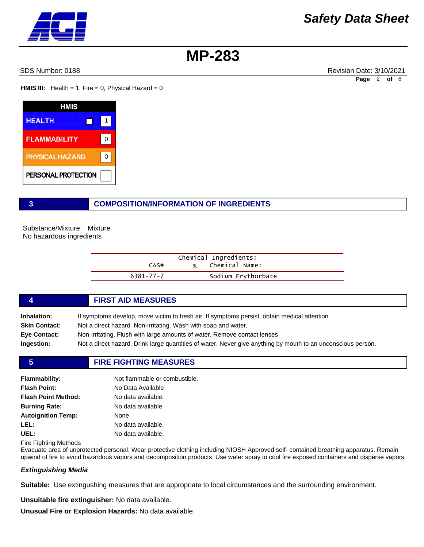SDS Number: 0188 Revision Date: 3/10/2021 **Page** 2 **of** 6

**HMIS III:** Health = 1, Fire = 0, Physical Hazard =  $0$ 

| HMIS                   |   |
|------------------------|---|
| <b>HEALTH</b>          |   |
| <b>FLAMMABILITY</b>    | ŋ |
| <b>PHYSICAL HAZARD</b> | ŋ |
| PERSONAL PROTECTION    |   |

# **3 COMPOSITION/INFORMATION OF INGREDIENTS**

Substance/Mixture: Mixture No hazardous ingredients

| Chemical Ingredients: |   |                    |
|-----------------------|---|--------------------|
| CAS#                  | % | Chemical Name:     |
| 6381-77-7             |   | Sodium Erythorbate |

# **4 FIRST AID MEASURES**

| Inhalation:         | If symptoms develop, move victim to fresh air. If symptoms persist, obtain medical attention.                |
|---------------------|--------------------------------------------------------------------------------------------------------------|
|                     |                                                                                                              |
| Skin Contact:       | Not a direct hazard. Non-irritating. Wash with soap and water.                                               |
| <b>Eve Contact:</b> | Non-irritating. Flush with large amounts of water. Remove contact lenses                                     |
| Ingestion:          | Not a direct hazard. Drink large quantities of water. Never give anything by mouth to an unconscious person. |

### **5 FIRE FIGHTING MEASURES**

| <b>Flammability:</b>       | Not flammable or combustible. |
|----------------------------|-------------------------------|
| <b>Flash Point:</b>        | No Data Available             |
| <b>Flash Point Method:</b> | No data available.            |
| <b>Burning Rate:</b>       | No data available.            |
| <b>Autoignition Temp:</b>  | None                          |
| LEL:                       | No data available.            |
| UEL:                       | No data available.            |
|                            |                               |

Fire Fighting Methods

Evacuate area of unprotected personal. Wear protective clothing including NIOSH Approved self- contained breathing apparatus. Remain upwind of fire to avoid hazardous vapors and decomposition products. Use water spray to cool fire exposed containers and disperse vapors.

### *Extinguishing Media*

**Suitable:** Use extingushing measures that are appropriate to local circumstances and the surrounding environment.

**Unsuitable fire extinguisher:** No data available. **Unusual Fire or Explosion Hazards:** No data available.

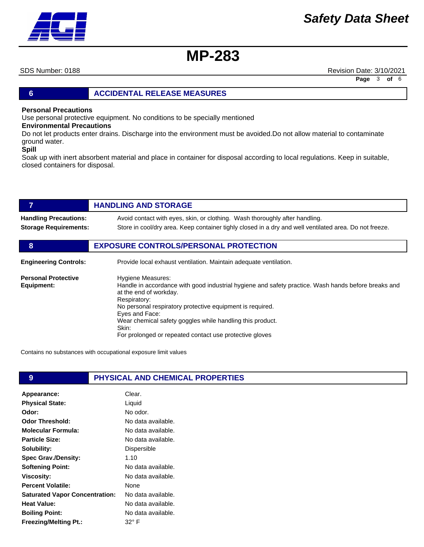SDS Number: 0188 Revision Date: 3/10/2021 **Page** 3 **of** 6

# **6 ACCIDENTAL RELEASE MEASURES**

# **Personal Precautions**

Use personal protective equipment. No conditions to be specially mentioned

# **Environmental Precautions**

Do not let products enter drains. Discharge into the environment must be avoided.Do not allow material to contaminate ground water.

### **Spill**

Soak up with inert absorbent material and place in container for disposal according to local regulations. Keep in suitable, closed containers for disposal.

|                                          | <b>HANDLING AND STORAGE</b>                                                                                                                                                                                                                                                                                                                                                               |
|------------------------------------------|-------------------------------------------------------------------------------------------------------------------------------------------------------------------------------------------------------------------------------------------------------------------------------------------------------------------------------------------------------------------------------------------|
| <b>Handling Precautions:</b>             | Avoid contact with eyes, skin, or clothing. Wash thoroughly after handling.                                                                                                                                                                                                                                                                                                               |
| <b>Storage Requirements:</b>             | Store in cool/dry area. Keep container tighly closed in a dry and well ventilated area. Do not freeze.                                                                                                                                                                                                                                                                                    |
| 8                                        | <b>EXPOSURE CONTROLS/PERSONAL PROTECTION</b>                                                                                                                                                                                                                                                                                                                                              |
| <b>Engineering Controls:</b>             | Provide local exhaust ventilation. Maintain adequate ventilation.                                                                                                                                                                                                                                                                                                                         |
| <b>Personal Protective</b><br>Equipment: | <b>Hygiene Measures:</b><br>Handle in accordance with good industrial hygiene and safety practice. Wash hands before breaks and<br>at the end of workday.<br>Respiratory:<br>No personal respiratory protective equipment is required.<br>Eyes and Face:<br>Wear chemical safety goggles while handling this product.<br>Skin:<br>For prolonged or repeated contact use protective gloves |

Contains no substances with occupational exposure limit values

| 9                                     | PHYSICAL AND CHEMICAL PROPERTIES |  |
|---------------------------------------|----------------------------------|--|
| Appearance:                           | Clear.                           |  |
| <b>Physical State:</b>                | Liquid                           |  |
| Odor:                                 | No odor.                         |  |
| <b>Odor Threshold:</b>                | No data available.               |  |
| <b>Molecular Formula:</b>             | No data available.               |  |
| <b>Particle Size:</b>                 | No data available.               |  |
| Solubility:                           | Dispersible                      |  |
| <b>Spec Grav./Density:</b>            | 1.10                             |  |
| <b>Softening Point:</b>               | No data available.               |  |
| <b>Viscosity:</b>                     | No data available.               |  |
| <b>Percent Volatile:</b>              | None                             |  |
| <b>Saturated Vapor Concentration:</b> | No data available.               |  |
| <b>Heat Value:</b>                    | No data available.               |  |
| <b>Boiling Point:</b>                 | No data available.               |  |
| <b>Freezing/Melting Pt.:</b>          | $32^{\circ}$ F                   |  |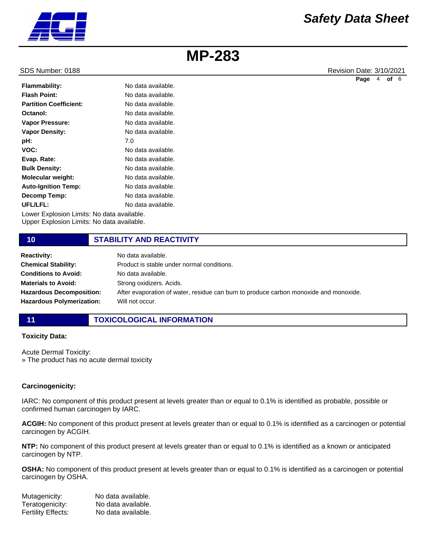

SDS Number: 0188 Revision Date: 3/10/2021 **Page** 4 **of** 6

| <b>Flammability:</b>                       | No data available. |
|--------------------------------------------|--------------------|
| <b>Flash Point:</b>                        | No data available. |
| <b>Partition Coefficient:</b>              | No data available. |
| Octanol:                                   | No data available. |
| <b>Vapor Pressure:</b>                     | No data available. |
| <b>Vapor Density:</b>                      | No data available. |
| pH:                                        | 7.0                |
| VOC:                                       | No data available. |
| Evap. Rate:                                | No data available. |
| <b>Bulk Density:</b>                       | No data available. |
| <b>Molecular weight:</b>                   | No data available. |
| <b>Auto-Ignition Temp:</b>                 | No data available. |
| <b>Decomp Temp:</b>                        | No data available. |
| UFL/LFL:                                   | No data available. |
| Lower Explosion Limits: No data available. |                    |

Upper Explosion Limits: No data available.

# **10 STABILITY AND REACTIVITY**

| <b>Reactivity:</b>               | No data available.                                                                    |
|----------------------------------|---------------------------------------------------------------------------------------|
| <b>Chemical Stability:</b>       | Product is stable under normal conditions.                                            |
| <b>Conditions to Avoid:</b>      | No data available.                                                                    |
| <b>Materials to Avoid:</b>       | Strong oxidizers. Acids.                                                              |
| <b>Hazardous Decomposition:</b>  | After evaporation of water, residue can burn to produce carbon monoxide and monoxide. |
| <b>Hazardous Polymerization:</b> | Will not occur.                                                                       |

# **11 TOXICOLOGICAL INFORMATION**

## **Toxicity Data:**

Acute Dermal Toxicity: » The product has no acute dermal toxicity

# **Carcinogenicity:**

IARC: No component of this product present at levels greater than or equal to 0.1% is identified as probable, possible or confirmed human carcinogen by IARC.

**ACGIH:** No component of this product present at levels greater than or equal to 0.1% is identified as a carcinogen or potential carcinogen by ACGIH.

**NTP:** No component of this product present at levels greater than or equal to 0.1% is identified as a known or anticipated carcinogen by NTP.

**OSHA:** No component of this product present at levels greater than or equal to 0.1% is identified as a carcinogen or potential carcinogen by OSHA.

| Mutagenicity:      | No data available. |
|--------------------|--------------------|
| Teratogenicity:    | No data available. |
| Fertility Effects: | No data available. |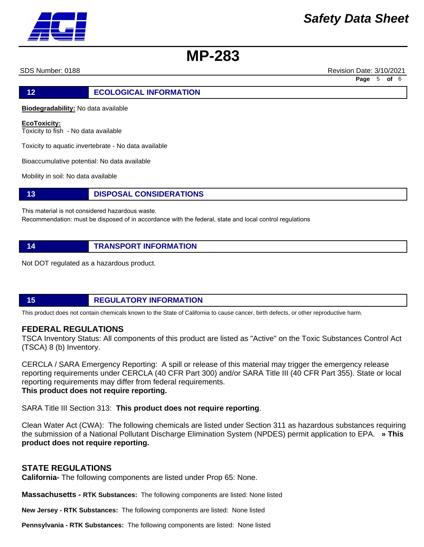SDS Number: 0188 Revision Date: 3/10/2021

**Page** 5 **of** 6

**12 ECOLOGICAL INFORMATION** 

**Biodegradability:** No data available

**EcoToxicity:**

Toxicity to fish - No data available

Toxicity to aquatic invertebrate - No data available

Bioaccumulative potential: No data available

Mobility in soil: No data available

**13 DISPOSAL CONSIDERATIONS**

This material is not considered hazardous waste.

Recommendation: must be disposed of in accordance with the federal, state and local control regulations

**14 TRANSPORT INFORMATION**

Not DOT regulated as a hazardous product.

**15 REGULATORY INFORMATION**

This product does not contain chemicals known to the State of California to cause cancer, birth defects, or other reproductive harm.

# **FEDERAL REGULATIONS**

TSCA Inventory Status: All components of this product are listed as "Active" on the Toxic Substances Control Act (TSCA) 8 (b) Inventory.

CERCLA / SARA Emergency Reporting: A spill or release of this material may trigger the emergency release reporting requirements under CERCLA (40 CFR Part 300) and/or SARA Title III (40 CFR Part 355). State or local reporting requirements may differ from federal requirements. **This product does not require reporting.**

SARA Title III Section 313: **This product does not require reporting**.

Clean Water Act (CWA): The following chemicals are listed under Section 311 as hazardous substances requiring the submission of a National Pollutant Discharge Elimination System (NPDES) permit application to EPA. **» This product does not require reporting.**

# **STATE REGULATIONS**

**California-** The following components are listed under Prop 65: None.

**Massachusetts - RTK Substances:** The following components are listed: None listed

**New Jersey - RTK Substances:** The following components are listed: None listed

**Pennsylvania - RTK Substances:** The following components are listed: None listed